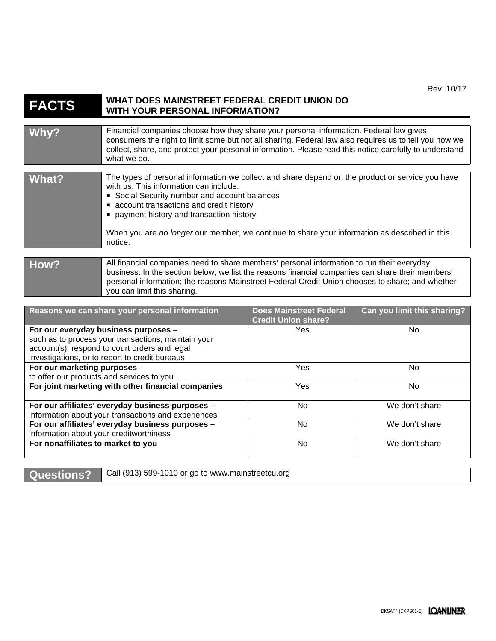## **FACTS WHAT DOES MAINSTREET FEDERAL CREDIT UNION DO WITH YOUR PERSONAL INFORMATION?**

| Whv?  | Financial companies choose how they share your personal information. Federal law gives<br>consumers the right to limit some but not all sharing. Federal law also requires us to tell you how we<br>collect, share, and protect your personal information. Please read this notice carefully to understand<br>what we do.                                                                     |
|-------|-----------------------------------------------------------------------------------------------------------------------------------------------------------------------------------------------------------------------------------------------------------------------------------------------------------------------------------------------------------------------------------------------|
| What? | The types of personal information we collect and share depend on the product or service you have<br>with us. This information can include:<br>Social Security number and account balances<br>• account transactions and credit history<br>payment history and transaction history<br>When you are no longer our member, we continue to share your information as described in this<br>notice. |
|       |                                                                                                                                                                                                                                                                                                                                                                                               |
| How?  | All financial companies need to share members' personal information to run their everyday<br>business. In the section below, we list the reasons financial companies can share their members'<br>personal information; the reasons Mainstreet Federal Credit Union chooses to share; and whether<br>you can limit this sharing.                                                               |

| Reasons we can share your personal information      | <b>Does Mainstreet Federal</b><br><b>Credit Union share?</b> | Can you limit this sharing? |
|-----------------------------------------------------|--------------------------------------------------------------|-----------------------------|
| For our everyday business purposes -                | Yes                                                          | No.                         |
| such as to process your transactions, maintain your |                                                              |                             |
| account(s), respond to court orders and legal       |                                                              |                             |
| investigations, or to report to credit bureaus      |                                                              |                             |
| For our marketing purposes -                        | Yes                                                          | No.                         |
| to offer our products and services to you           |                                                              |                             |
| For joint marketing with other financial companies  | Yes                                                          | No.                         |
|                                                     |                                                              |                             |
| For our affiliates' everyday business purposes -    | No                                                           | We don't share              |
| information about your transactions and experiences |                                                              |                             |
| For our affiliates' everyday business purposes -    | No.                                                          | We don't share              |
| information about your creditworthiness             |                                                              |                             |
| For nonaffiliates to market to you                  | No                                                           | We don't share              |
|                                                     |                                                              |                             |

**Questions?** Call (913) 599-1010 or go to www.mainstreetcu.org